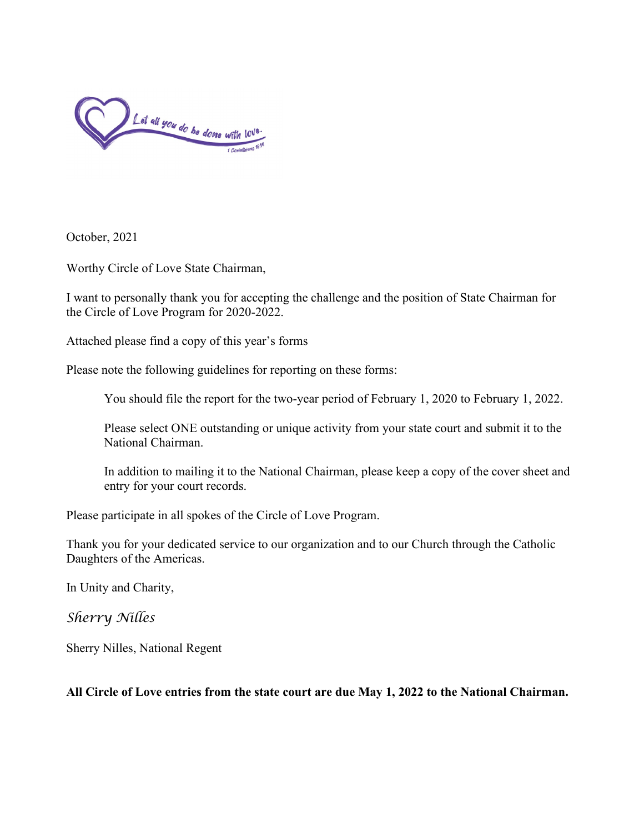

October, 2021

Worthy Circle of Love State Chairman,

I want to personally thank you for accepting the challenge and the position of State Chairman for the Circle of Love Program for 2020-2022.

Attached please find a copy of this year's forms

Please note the following guidelines for reporting on these forms:

You should file the report for the two-year period of February 1, 2020 to February 1, 2022.

Please select ONE outstanding or unique activity from your state court and submit it to the National Chairman.

In addition to mailing it to the National Chairman, please keep a copy of the cover sheet and entry for your court records.

Please participate in all spokes of the Circle of Love Program.

Thank you for your dedicated service to our organization and to our Church through the Catholic Daughters of the Americas.

In Unity and Charity,

*Sherry Nilles*

Sherry Nilles, National Regent

**All Circle of Love entries from the state court are due May 1, 2022 to the National Chairman.**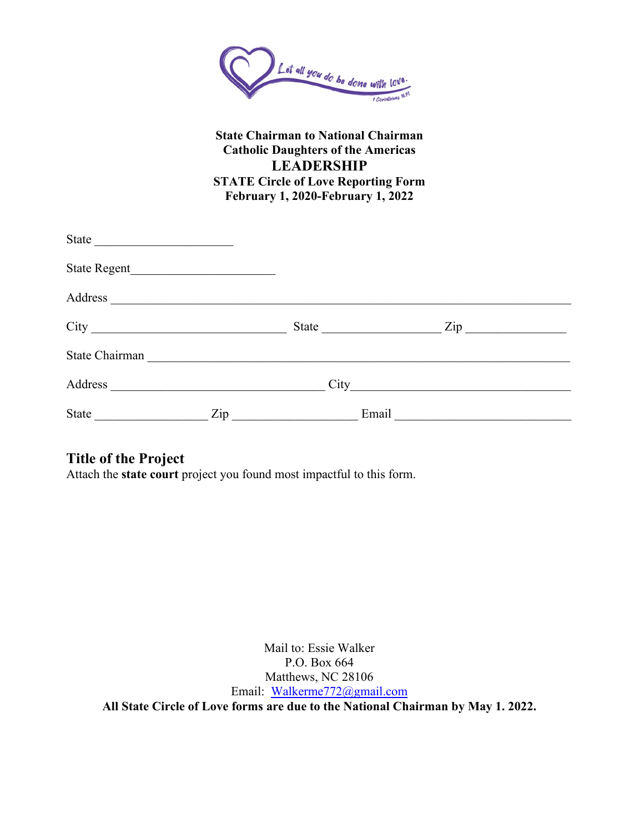

## **State Chairman to National Chairman Catholic Daughters of the Americas LEADERSHIP STATE Circle of Love Reporting Form February 1, 2020-February 1, 2022**

| State            | the control of the control of the control of the control of |       |                    |  |
|------------------|-------------------------------------------------------------|-------|--------------------|--|
| State Regent     |                                                             |       |                    |  |
| Address          |                                                             |       |                    |  |
| $\frac{City}{1}$ |                                                             |       | $\mathsf{Zip}\_\_$ |  |
| State Chairman   |                                                             |       |                    |  |
| Address          |                                                             |       |                    |  |
| <b>State</b>     | Zip                                                         | Email |                    |  |

# **Title of the Project**

Attach the **state court** project you found most impactful to this form.

Mail to: Essie Walker P.O. Box 664 Matthews, NC 28106 Email: [Walkerme772@gmail.com](mailto:Walkerme772@gmail.com) **All State Circle of Love forms are due to the National Chairman by May 1. 2022.**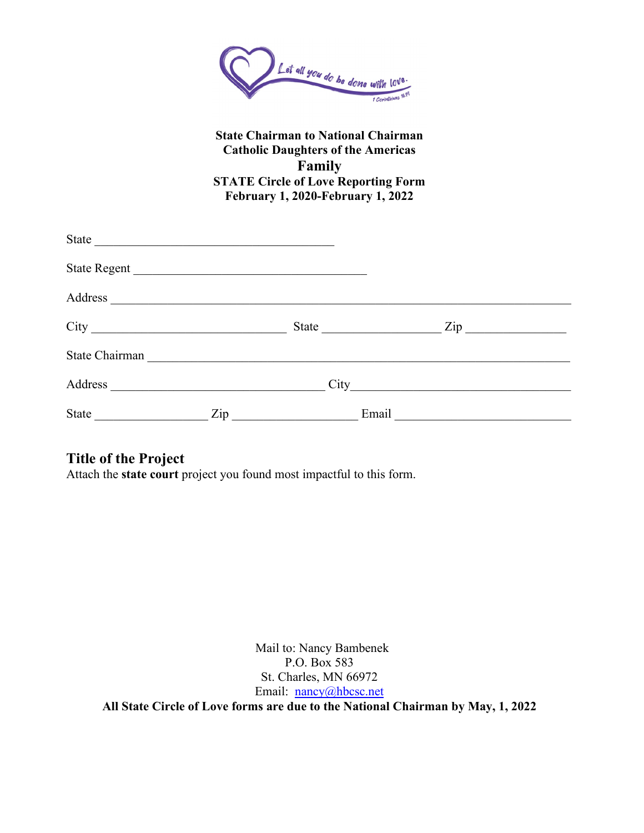

### **State Chairman to National Chairman Catholic Daughters of the Americas Family STATE Circle of Love Reporting Form February 1, 2020-February 1, 2022**

| State <u>experience</u> |     |                                                     |                  |  |
|-------------------------|-----|-----------------------------------------------------|------------------|--|
| State Regent            |     |                                                     |                  |  |
| Address                 |     |                                                     |                  |  |
|                         |     | State <u>___________</u>                            | $\mathsf{Zip}\_$ |  |
| State Chairman          |     |                                                     |                  |  |
| Address                 |     |                                                     |                  |  |
| <b>State</b>            | Zip | Email<br><u> 1989 - Johann Barn, mars ann an t-</u> |                  |  |

# **Title of the Project**

Attach the **state court** project you found most impactful to this form.

Mail to: Nancy Bambenek P.O. Box 583 St. Charles, MN 66972 Email: [nancy@hbcsc.net](mailto:nancy@hbcsc.net) **All State Circle of Love forms are due to the National Chairman by May, 1, 2022**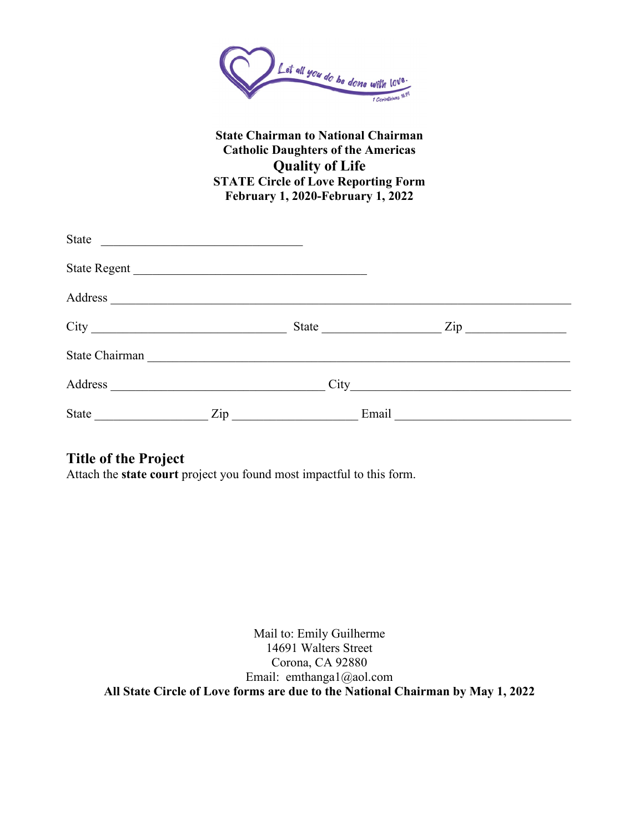

## **State Chairman to National Chairman Catholic Daughters of the Americas Quality of Life STATE Circle of Love Reporting Form February 1, 2020-February 1, 2022**

| <b>State</b> | <u> 1989 - Andrea Andrew Maria (h. 1989).</u> |                                                  |                                                                                                                                                                                                                                |
|--------------|-----------------------------------------------|--------------------------------------------------|--------------------------------------------------------------------------------------------------------------------------------------------------------------------------------------------------------------------------------|
|              |                                               | State Regent                                     |                                                                                                                                                                                                                                |
|              |                                               |                                                  |                                                                                                                                                                                                                                |
|              |                                               |                                                  | Zip and the same state of the state of the state of the state of the state of the state of the state of the state of the state of the state of the state of the state of the state of the state of the state of the state of t |
|              |                                               |                                                  |                                                                                                                                                                                                                                |
| Address      |                                               |                                                  |                                                                                                                                                                                                                                |
| State        | Zip                                           | Email<br><u> 1989 - Johann Barbara, martxa a</u> |                                                                                                                                                                                                                                |

# **Title of the Project**

Attach the **state court** project you found most impactful to this form.

Mail to: Emily Guilherme 14691 Walters Street Corona, CA 92880 Email: emthanga1@aol.com **All State Circle of Love forms are due to the National Chairman by May 1, 2022**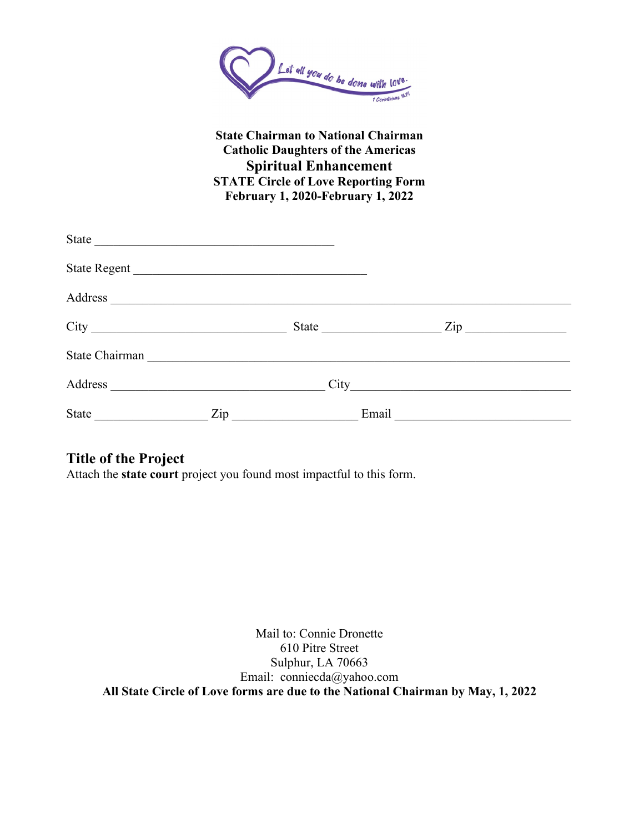

## **State Chairman to National Chairman Catholic Daughters of the Americas Spiritual Enhancement STATE Circle of Love Reporting Form February 1, 2020-February 1, 2022**

| State          |     |                                                  |                  |
|----------------|-----|--------------------------------------------------|------------------|
|                |     | State Regent                                     |                  |
| Address        |     |                                                  |                  |
|                |     |                                                  | $\mathsf{Zip}\_$ |
| State Chairman |     |                                                  |                  |
| Address        |     |                                                  |                  |
| State          | Zip | Email<br><u> 1990 - Johann Barbara, martxa a</u> |                  |

# **Title of the Project**

Attach the **state court** project you found most impactful to this form.

Mail to: Connie Dronette 610 Pitre Street Sulphur, LA 70663 Email: conniecda@yahoo.com **All State Circle of Love forms are due to the National Chairman by May, 1, 2022**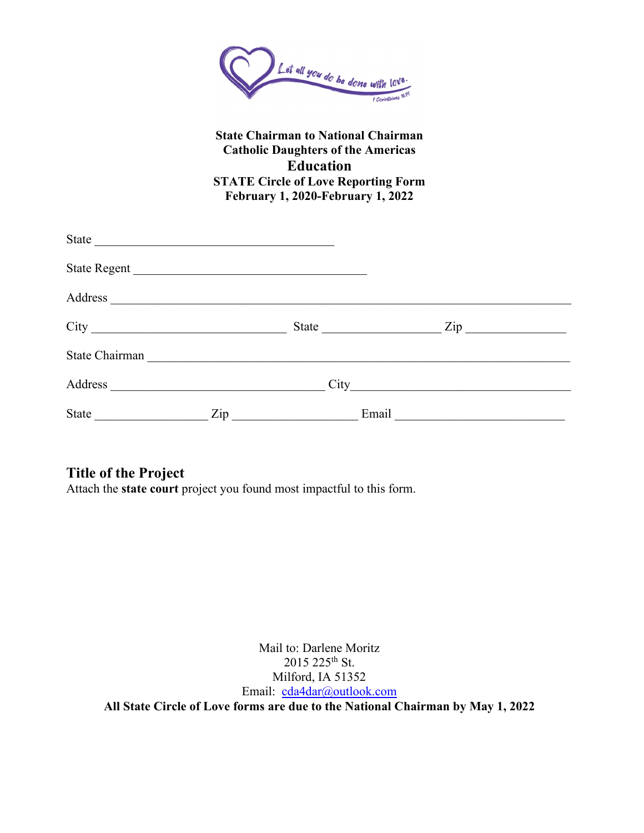

## **State Chairman to National Chairman Catholic Daughters of the Americas Education STATE Circle of Love Reporting Form February 1, 2020-February 1, 2022**

| State          |                                                       |                  |       |                    |
|----------------|-------------------------------------------------------|------------------|-------|--------------------|
|                |                                                       |                  |       |                    |
| Address        |                                                       |                  |       |                    |
|                |                                                       | State            |       | $\mathsf{Zip}\_\_$ |
| State Chairman |                                                       |                  |       |                    |
| Address        | <u> 1980 - Johann Stoff, fransk politik (d. 1980)</u> |                  |       |                    |
| State          |                                                       | $\mathsf{Zip}\_$ | Email |                    |

# **Title of the Project**

Attach the **state court** project you found most impactful to this form.

Mail to: Darlene Moritz 2015 225<sup>th</sup> St. Milford, IA 51352 Email: [cda4dar@outlook.com](mailto:cda4dar@outlook.com) **All State Circle of Love forms are due to the National Chairman by May 1, 2022**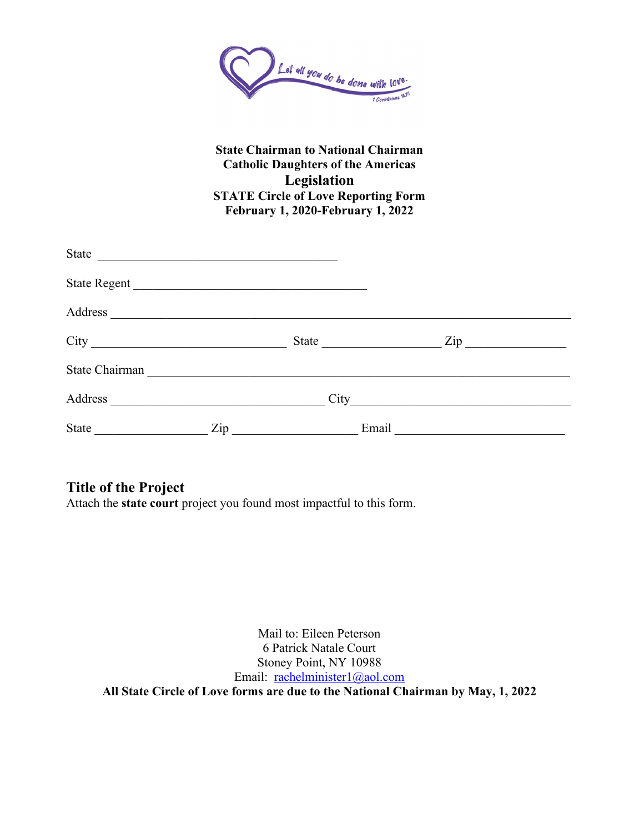

#### **State Chairman to National Chairman Catholic Daughters of the Americas Legislation STATE Circle of Love Reporting Form February 1, 2020-February 1, 2022**

| State Regent                                                                                                                                                                                                                                                                                                                                                                                                                                                         |                                                  |                |       |                    |  |
|----------------------------------------------------------------------------------------------------------------------------------------------------------------------------------------------------------------------------------------------------------------------------------------------------------------------------------------------------------------------------------------------------------------------------------------------------------------------|--------------------------------------------------|----------------|-------|--------------------|--|
| Address                                                                                                                                                                                                                                                                                                                                                                                                                                                              |                                                  |                |       |                    |  |
|                                                                                                                                                                                                                                                                                                                                                                                                                                                                      |                                                  |                |       | $\mathsf{Zip}\_\_$ |  |
| State Chairman                                                                                                                                                                                                                                                                                                                                                                                                                                                       |                                                  |                |       |                    |  |
| Address                                                                                                                                                                                                                                                                                                                                                                                                                                                              | and the control of the control of the control of |                |       |                    |  |
| State<br>$\begin{array}{c} \begin{array}{c} \begin{array}{c} \begin{array}{c} \end{array} \\ \begin{array}{c} \end{array} \end{array} & \begin{array}{c} \end{array} \end{array} \end{array} \end{array} \end{array} \end{array} \begin{array}{c} \begin{array}{c} \begin{array}{c} \end{array} \end{array} \end{array} \begin{array}{c} \begin{array}{c} \end{array} \end{array} \end{array} \begin{array}{c} \begin{array}{c} \end{array} \end{array} \end{array}$ |                                                  | $\mathbf{Zip}$ | Email |                    |  |

# **Title of the Project**

Attach the **state court** project you found most impactful to this form.

Mail to: Eileen Peterson 6 Patrick Natale Court Stoney Point, NY 10988 Email: [rachelminister1@aol.com](mailto:rachelminister1@aol.com) **All State Circle of Love forms are due to the National Chairman by May, 1, 2022**